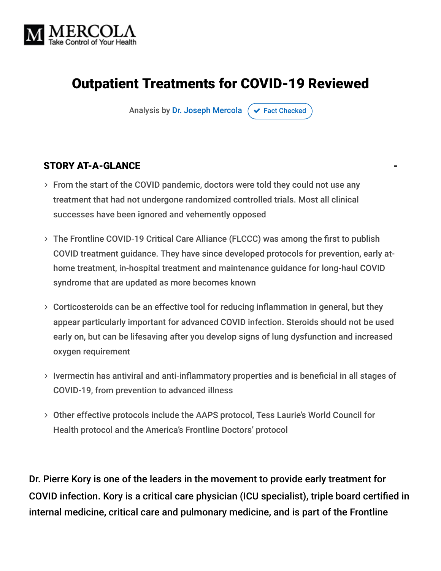

## Outpatient Treatments for COVID-19 Reviewed

Analysis by [Dr. Joseph Mercola](https://www.mercola.com/forms/background.htm)  $\sigma$  [Fact Checked](javascript:void(0))

# STORY AT-A-GLANCE

- From the start of the COVID pandemic, doctors were told they could not use any treatment that had not undergone randomized controlled trials. Most all clinical successes have been ignored and vehemently opposed
- The Frontline COVID-19 Critical Care Alliance (FLCCC) was among the first to publish COVID treatment guidance. They have since developed protocols for prevention, early athome treatment, in-hospital treatment and maintenance guidance for long-haul COVID syndrome that are updated as more becomes known
- Corticosteroids can be an effective tool for reducing inflammation in general, but they appear particularly important for advanced COVID infection. Steroids should not be used early on, but can be lifesaving after you develop signs of lung dysfunction and increased oxygen requirement
- $>$  Ivermectin has antiviral and anti-inflammatory properties and is beneficial in all stages of COVID-19, from prevention to advanced illness
- Other effective protocols include the AAPS protocol, Tess Laurie's World Council for Health protocol and the America's Frontline Doctors' protocol

Dr. Pierre Kory is one of the leaders in the movement to provide early treatment for COVID infection. Kory is a critical care physician (ICU specialist), triple board certified in internal medicine, critical care and pulmonary medicine, and is part of the Frontline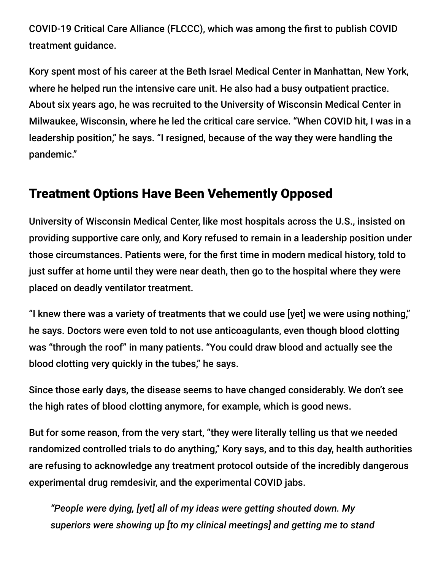COVID-19 Critical Care Alliance (FLCCC), which was among the first to publish COVID treatment guidance.

Kory spent most of his career at the Beth Israel Medical Center in Manhattan, New York, where he helped run the intensive care unit. He also had a busy outpatient practice. About six years ago, he was recruited to the University of Wisconsin Medical Center in Milwaukee, Wisconsin, where he led the critical care service. "When COVID hit, I was in a leadership position," he says. "I resigned, because of the way they were handling the pandemic."

### Treatment Options Have Been Vehemently Opposed

University of Wisconsin Medical Center, like most hospitals across the U.S., insisted on providing supportive care only, and Kory refused to remain in a leadership position under those circumstances. Patients were, for the first time in modern medical history, told to just suffer at home until they were near death, then go to the hospital where they were placed on deadly ventilator treatment.

"I knew there was a variety of treatments that we could use [yet] we were using nothing," he says. Doctors were even told to not use anticoagulants, even though blood clotting was "through the roof" in many patients. "You could draw blood and actually see the blood clotting very quickly in the tubes," he says.

Since those early days, the disease seems to have changed considerably. We don't see the high rates of blood clotting anymore, for example, which is good news.

But for some reason, from the very start, "they were literally telling us that we needed randomized controlled trials to do anything," Kory says, and to this day, health authorities are refusing to acknowledge any treatment protocol outside of the incredibly dangerous experimental drug remdesivir, and the experimental COVID jabs.

*"People were dying, [yet] all of my ideas were getting shouted down. My superiors were showing up [to my clinical meetings] and getting me to stand*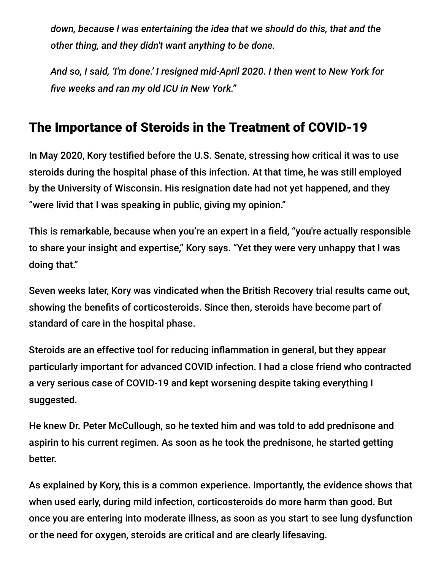*down, because I was entertaining the idea that we should do this, that and the other thing, and they didn't want anything to be done.*

*And so, I said, 'I'm done.' I resigned mid-April 2020. I then went to New York for five weeks and ran my old ICU in New York."*

## The Importance of Steroids in the Treatment of COVID-19

In May 2020, Kory testified before the U.S. Senate, stressing how critical it was to use steroids during the hospital phase of this infection. At that time, he was still employed by the University of Wisconsin. His resignation date had not yet happened, and they "were livid that I was speaking in public, giving my opinion."

This is remarkable, because when you're an expert in a field, "you're actually responsible to share your insight and expertise," Kory says. "Yet they were very unhappy that I was doing that."

Seven weeks later, Kory was vindicated when the British Recovery trial results came out, showing the benefits of corticosteroids. Since then, steroids have become part of standard of care in the hospital phase.

Steroids are an effective tool for reducing inflammation in general, but they appear particularly important for advanced COVID infection. I had a close friend who contracted a very serious case of COVID-19 and kept worsening despite taking everything I suggested.

He knew Dr. Peter McCullough, so he texted him and was told to add prednisone and aspirin to his current regimen. As soon as he took the prednisone, he started getting better.

As explained by Kory, this is a common experience. Importantly, the evidence shows that when used early, during mild infection, corticosteroids do more harm than good. But once you are entering into moderate illness, as soon as you start to see lung dysfunction or the need for oxygen, steroids are critical and are clearly lifesaving.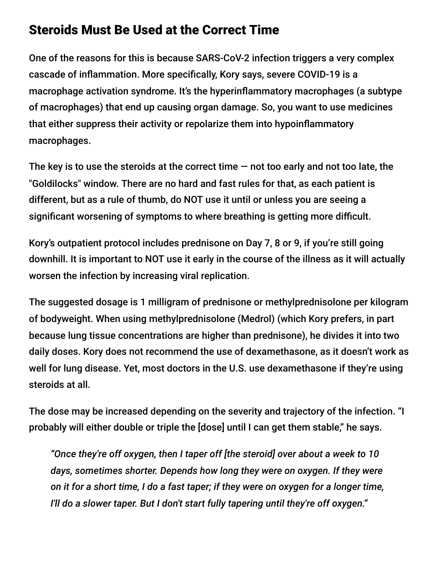#### Steroids Must Be Used at the Correct Time

One of the reasons for this is because SARS-CoV-2 infection triggers a very complex cascade of inflammation. More specifically, Kory says, severe COVID-19 is a macrophage activation syndrome. It's the hyperinflammatory macrophages (a subtype of macrophages) that end up causing organ damage. So, you want to use medicines that either suppress their activity or repolarize them into hypoinflammatory macrophages.

The key is to use the steroids at the correct time  $-$  not too early and not too late, the "Goldilocks" window. There are no hard and fast rules for that, as each patient is different, but as a rule of thumb, do NOT use it until or unless you are seeing a significant worsening of symptoms to where breathing is getting more difficult.

Kory's outpatient protocol includes prednisone on Day 7, 8 or 9, if you're still going downhill. It is important to NOT use it early in the course of the illness as it will actually worsen the infection by increasing viral replication.

The suggested dosage is 1 milligram of prednisone or methylprednisolone per kilogram of bodyweight. When using methylprednisolone (Medrol) (which Kory prefers, in part because lung tissue concentrations are higher than prednisone), he divides it into two daily doses. Kory does not recommend the use of dexamethasone, as it doesn't work as well for lung disease. Yet, most doctors in the U.S. use dexamethasone if they're using steroids at all.

The dose may be increased depending on the severity and trajectory of the infection. "I probably will either double or triple the [dose] until I can get them stable," he says.

*"Once they're off oxygen, then I taper off [the steroid] over about a week to 10 days, sometimes shorter. Depends how long they were on oxygen. If they were on it for a short time, I do a fast taper; if they were on oxygen for a longer time, I'll do a slower taper. But I don't start fully tapering until they're off oxygen."*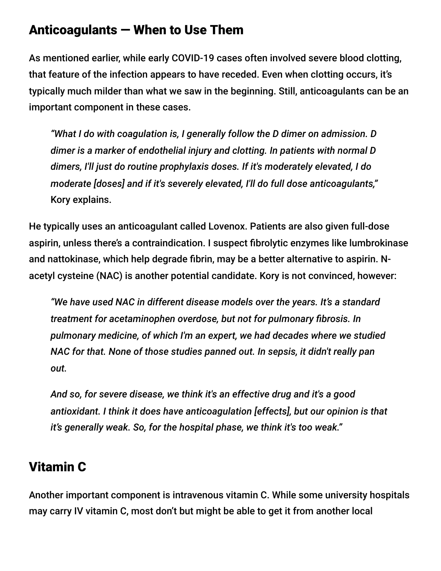#### Anticoagulants — When to Use Them

As mentioned earlier, while early COVID-19 cases often involved severe blood clotting, that feature of the infection appears to have receded. Even when clotting occurs, it's typically much milder than what we saw in the beginning. Still, anticoagulants can be an important component in these cases.

*"What I do with coagulation is, I generally follow the D dimer on admission. D dimer is a marker of endothelial injury and clotting. In patients with normal D dimers, I'll just do routine prophylaxis doses. If it's moderately elevated, I do moderate [doses] and if it's severely elevated, I'll do full dose anticoagulants,"* Kory explains.

He typically uses an anticoagulant called Lovenox. Patients are also given full-dose aspirin, unless there's a contraindication. I suspect fibrolytic enzymes like lumbrokinase and nattokinase, which help degrade fibrin, may be a better alternative to aspirin. Nacetyl cysteine (NAC) is another potential candidate. Kory is not convinced, however:

*"We have used NAC in different disease models over the years. It's a standard treatment for acetaminophen overdose, but not for pulmonary fibrosis. In pulmonary medicine, of which I'm an expert, we had decades where we studied NAC for that. None of those studies panned out. In sepsis, it didn't really pan out.*

*And so, for severe disease, we think it's an effective drug and it's a good antioxidant. I think it does have anticoagulation [effects], but our opinion is that it's generally weak. So, for the hospital phase, we think it's too weak."*

### Vitamin C

Another important component is intravenous vitamin C. While some university hospitals may carry IV vitamin C, most don't but might be able to get it from another local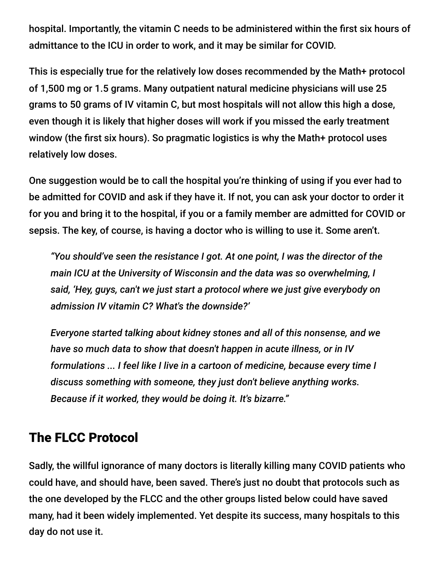hospital. Importantly, the vitamin C needs to be administered within the first six hours of admittance to the ICU in order to work, and it may be similar for COVID.

This is especially true for the relatively low doses recommended by the Math+ protocol of 1,500 mg or 1.5 grams. Many outpatient natural medicine physicians will use 25 grams to 50 grams of IV vitamin C, but most hospitals will not allow this high a dose, even though it is likely that higher doses will work if you missed the early treatment window (the first six hours). So pragmatic logistics is why the Math+ protocol uses relatively low doses.

One suggestion would be to call the hospital you're thinking of using if you ever had to be admitted for COVID and ask if they have it. If not, you can ask your doctor to order it for you and bring it to the hospital, if you or a family member are admitted for COVID or sepsis. The key, of course, is having a doctor who is willing to use it. Some aren't.

*"You should've seen the resistance I got. At one point, I was the director of the main ICU at the University of Wisconsin and the data was so overwhelming, I said, 'Hey, guys, can't we just start a protocol where we just give everybody on admission IV vitamin C? What's the downside?'*

*Everyone started talking about kidney stones and all of this nonsense, and we have so much data to show that doesn't happen in acute illness, or in IV formulations ... I feel like I live in a cartoon of medicine, because every time I discuss something with someone, they just don't believe anything works. Because if it worked, they would be doing it. It's bizarre."*

#### The FLCC Protocol

Sadly, the willful ignorance of many doctors is literally killing many COVID patients who could have, and should have, been saved. There's just no doubt that protocols such as the one developed by the FLCC and the other groups listed below could have saved many, had it been widely implemented. Yet despite its success, many hospitals to this day do not use it.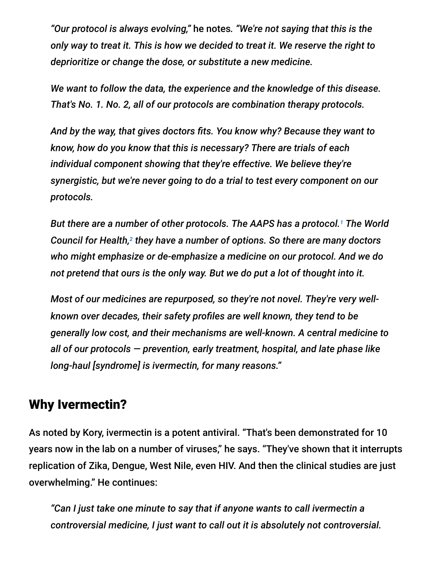*"Our protocol is always evolving,"* he notes*. "We're not saying that this is the only way to treat it. This is how we decided to treat it. We reserve the right to deprioritize or change the dose, or substitute a new medicine.*

*We want to follow the data, the experience and the knowledge of this disease. That's No. 1. No. 2, all of our protocols are combination therapy protocols.*

*And by the way, that gives doctors fits. You know why? Because they want to know, how do you know that this is necessary? There are trials of each individual component showing that they're effective. We believe they're synergistic, but we're never going to do a trial to test every component on our protocols.*

*But there are a number of other protocols. The AAPS has a protocol. The World 1* Council for Health,<sup>2</sup> they have a number of options. So there are many doctors *who might emphasize or de-emphasize a medicine on our protocol. And we do not pretend that ours is the only way. But we do put a lot of thought into it.*

*Most of our medicines are repurposed, so they're not novel. They're very wellknown over decades, their safety profiles are well known, they tend to be generally low cost, and their mechanisms are well-known. A central medicine to all of our protocols — prevention, early treatment, hospital, and late phase like long-haul [syndrome] is ivermectin, for many reasons."*

#### Why Ivermectin?

As noted by Kory, ivermectin is a potent antiviral. "That's been demonstrated for 10 years now in the lab on a number of viruses," he says. "They've shown that it interrupts replication of Zika, Dengue, West Nile, even HIV. And then the clinical studies are just overwhelming." He continues:

*"Can I just take one minute to say that if anyone wants to call ivermectin a controversial medicine, I just want to call out it is absolutely not controversial.*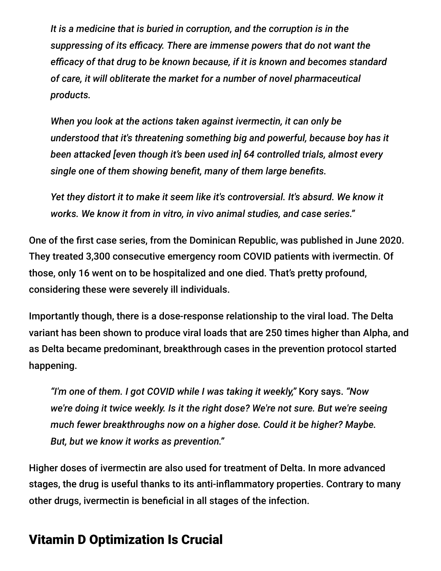*It is a medicine that is buried in corruption, and the corruption is in the suppressing of its efficacy. There are immense powers that do not want the efficacy of that drug to be known because, if it is known and becomes standard of care, it will obliterate the market for a number of novel pharmaceutical products.*

*When you look at the actions taken against ivermectin, it can only be understood that it's threatening something big and powerful, because boy has it been attacked [even though it's been used in] 64 controlled trials, almost every single one of them showing benefit, many of them large benefits.*

*Yet they distort it to make it seem like it's controversial. It's absurd. We know it works. We know it from in vitro, in vivo animal studies, and case series."*

One of the first case series, from the Dominican Republic, was published in June 2020. They treated 3,300 consecutive emergency room COVID patients with ivermectin. Of those, only 16 went on to be hospitalized and one died. That's pretty profound, considering these were severely ill individuals.

Importantly though, there is a dose-response relationship to the viral load. The Delta variant has been shown to produce viral loads that are 250 times higher than Alpha, and as Delta became predominant, breakthrough cases in the prevention protocol started happening.

*"I'm one of them. I got COVID while I was taking it weekly,"* Kory says. *"Now we're doing it twice weekly. Is it the right dose? We're not sure. But we're seeing much fewer breakthroughs now on a higher dose. Could it be higher? Maybe. But, but we know it works as prevention."*

Higher doses of ivermectin are also used for treatment of Delta. In more advanced stages, the drug is useful thanks to its anti-inflammatory properties. Contrary to many other drugs, ivermectin is beneficial in all stages of the infection.

### Vitamin D Optimization Is Crucial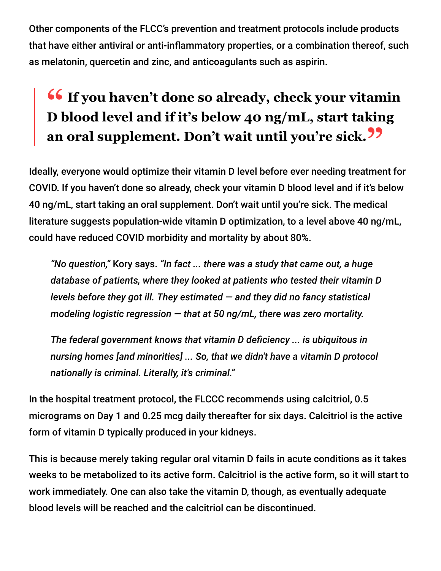Other components of the FLCC's prevention and treatment protocols include products that have either antiviral or anti-inflammatory properties, or a combination thereof, such as melatonin, quercetin and zinc, and anticoagulants such as aspirin.

# **<sup>66</sup>** If you haven't done so already, check your vitamin<br>D blood level and if it's below 40 ng/mL, start taking **D blood level and if it's below 40 ng/mL, start taking an oral supplement. Don't wait until you're sick."**

Ideally, everyone would optimize their vitamin D level before ever needing treatment for COVID. If you haven't done so already, check your vitamin D blood level and if it's below 40 ng/mL, start taking an oral supplement. Don't wait until you're sick. The medical literature suggests population-wide vitamin D optimization, to a level above 40 ng/mL, could have reduced COVID morbidity and mortality by about 80%.

*"No question,"* Kory says. *"In fact ... there was a study that came out, a huge database of patients, where they looked at patients who tested their vitamin D levels before they got ill. They estimated — and they did no fancy statistical modeling logistic regression — that at 50 ng/mL, there was zero mortality.*

*The federal government knows that vitamin D deficiency ... is ubiquitous in nursing homes [and minorities] ... So, that we didn't have a vitamin D protocol nationally is criminal. Literally, it's criminal."*

In the hospital treatment protocol, the FLCCC recommends using calcitriol, 0.5 micrograms on Day 1 and 0.25 mcg daily thereafter for six days. Calcitriol is the active form of vitamin D typically produced in your kidneys.

This is because merely taking regular oral vitamin D fails in acute conditions as it takes weeks to be metabolized to its active form. Calcitriol is the active form, so it will start to work immediately. One can also take the vitamin D, though, as eventually adequate blood levels will be reached and the calcitriol can be discontinued.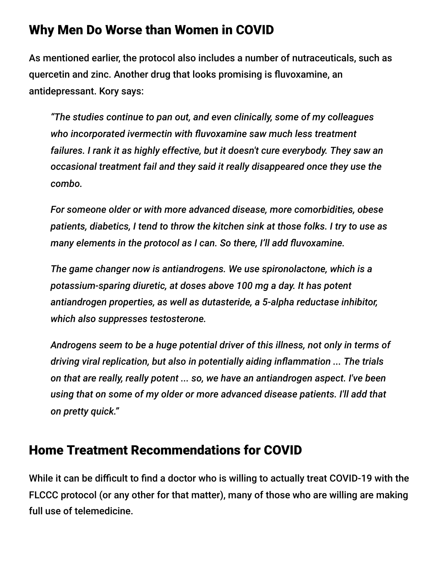#### Why Men Do Worse than Women in COVID

As mentioned earlier, the protocol also includes a number of nutraceuticals, such as quercetin and zinc. Another drug that looks promising is fluvoxamine, an antidepressant. Kory says:

*"The studies continue to pan out, and even clinically, some of my colleagues who incorporated ivermectin with fluvoxamine saw much less treatment failures. I rank it as highly effective, but it doesn't cure everybody. They saw an occasional treatment fail and they said it really disappeared once they use the combo.*

*For someone older or with more advanced disease, more comorbidities, obese patients, diabetics, I tend to throw the kitchen sink at those folks. I try to use as many elements in the protocol as I can. So there, I'll add fluvoxamine.*

*The game changer now is antiandrogens. We use spironolactone, which is a potassium-sparing diuretic, at doses above 100 mg a day. It has potent antiandrogen properties, as well as dutasteride, a 5-alpha reductase inhibitor, which also suppresses testosterone.*

*Androgens seem to be a huge potential driver of this illness, not only in terms of driving viral replication, but also in potentially aiding inflammation ... The trials on that are really, really potent ... so, we have an antiandrogen aspect. I've been using that on some of my older or more advanced disease patients. I'll add that on pretty quick."*

### Home Treatment Recommendations for COVID

While it can be difficult to find a doctor who is willing to actually treat COVID-19 with the FLCCC protocol (or any other for that matter), many of those who are willing are making full use of telemedicine.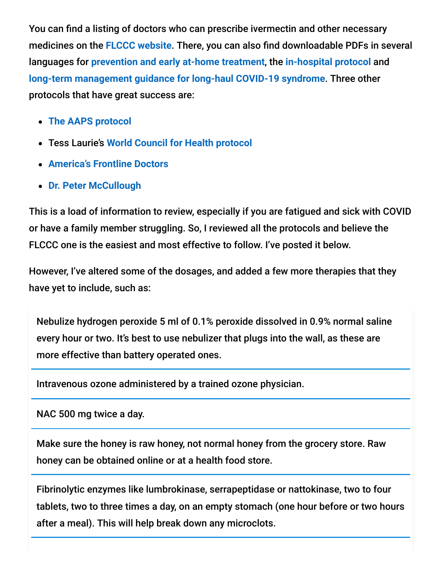You can find a listing of doctors who can prescribe ivermectin and other necessary medicines on the **[FLCCC website](https://covid19criticalcare.com/ivermectin-in-covid-19/how-to-get-ivermectin/)**. There, you can also find downloadable PDFs in several languages for **[prevention and early at-home treatment](https://covid19criticalcare.com/covid-19-protocols/i-mask-plus-protocol/)**, the **[in-hospital protocol](https://covid19criticalcare.com/covid-19-protocols/math-plus-protocol/)** and **[long-term management guidance for long-haul COVID-19 syndrome](https://covid19criticalcare.com/covid-19-protocols/i-recover-protocol/)**. Three other protocols that have great success are:

- **[The AAPS protocol](https://aapsonline.org/CovidPatientTreatmentGuide.pdf)**
- Tess Laurie's **[World Council for Health protocol](https://worldcouncilforhealth.org/wp-content/uploads/2021/09/WCH-At-Home-Treatment-Guide_30-Sept-2021.pdf)**
- **[America's Frontline Doctors](https://americasfrontlinedoctors.org/covid/treatment-options)**
- **[Dr. Peter McCullough](https://www.youtube.com/watch?v=cxmhvZ6eEI4&t=1s)**

This is a load of information to review, especially if you are fatigued and sick with COVID or have a family member struggling. So, I reviewed all the protocols and believe the FLCCC one is the easiest and most effective to follow. I've posted it below.

However, I've altered some of the dosages, and added a few more therapies that they have yet to include, such as:

Nebulize hydrogen peroxide 5 ml of 0.1% peroxide dissolved in 0.9% normal saline every hour or two. It's best to use nebulizer that plugs into the wall, as these are more effective than battery operated ones.

Intravenous ozone administered by a trained ozone physician.

NAC 500 mg twice a day.

Make sure the honey is raw honey, not normal honey from the grocery store. Raw honey can be obtained online or at a health food store.

Fibrinolytic enzymes like lumbrokinase, serrapeptidase or nattokinase, two to four tablets, two to three times a day, on an empty stomach (one hour before or two hours after a meal). This will help break down any microclots.